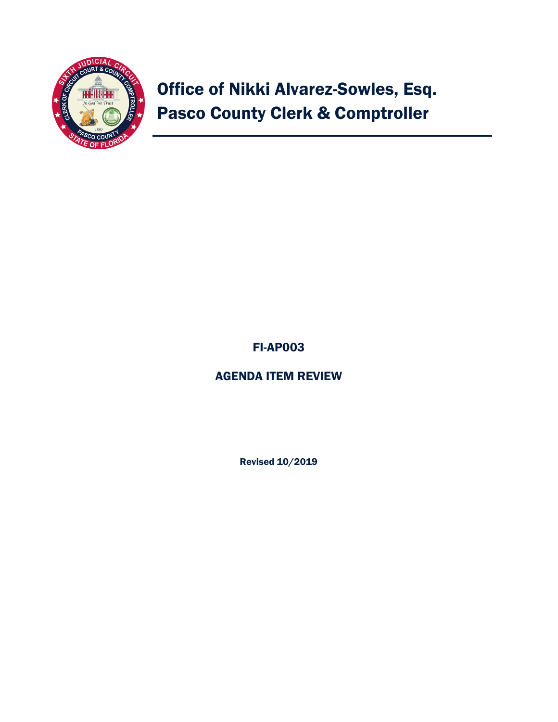

# Office of Nikki Alvarez-Sowles, Esq. Pasco County Clerk & Comptroller

## FI-AP003

### AGENDA ITEM REVIEW

Revised 10/2019